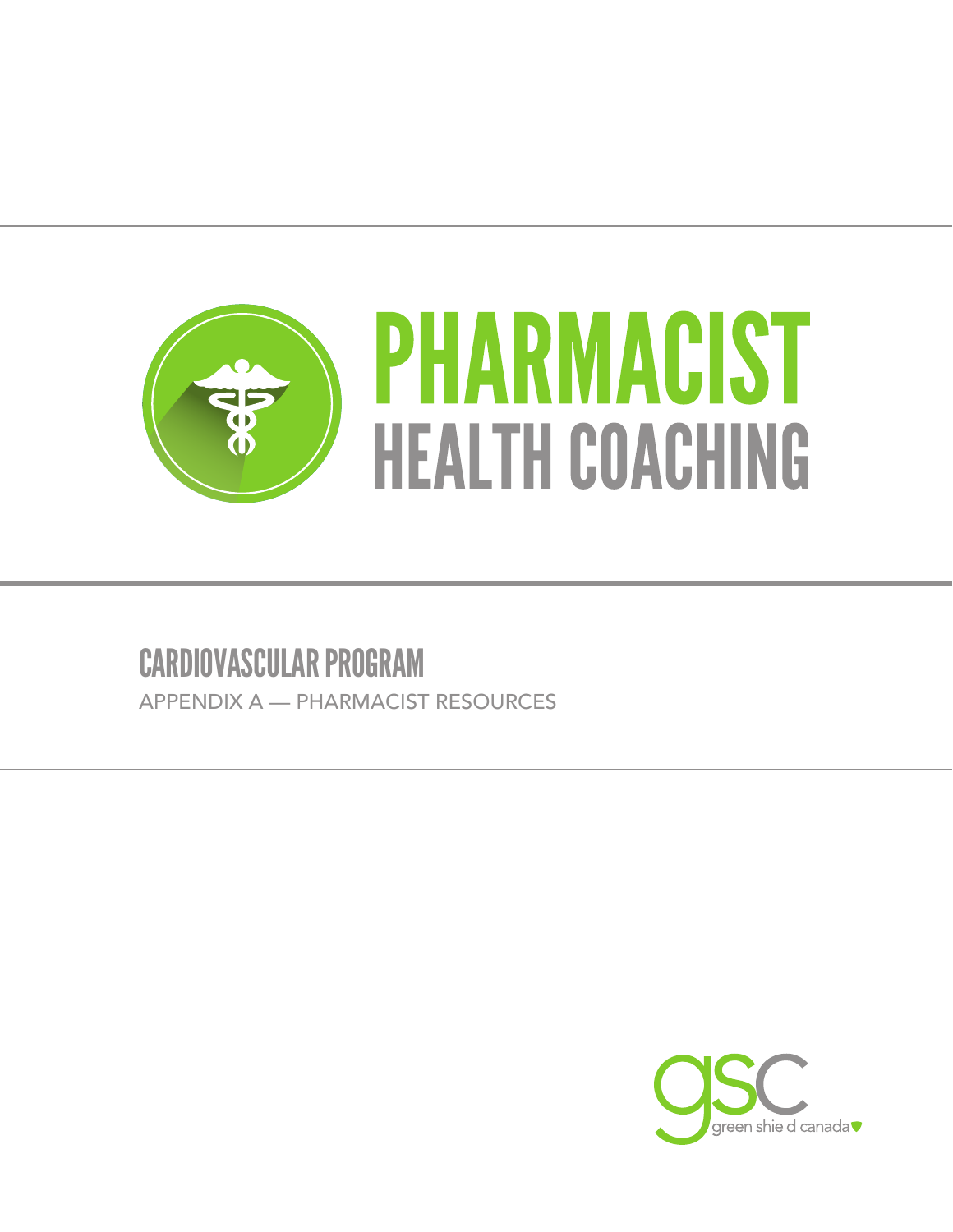

# CARDIOVASCULAR PROGRAM

APPENDIX A — PHARMACIST RESOURCES

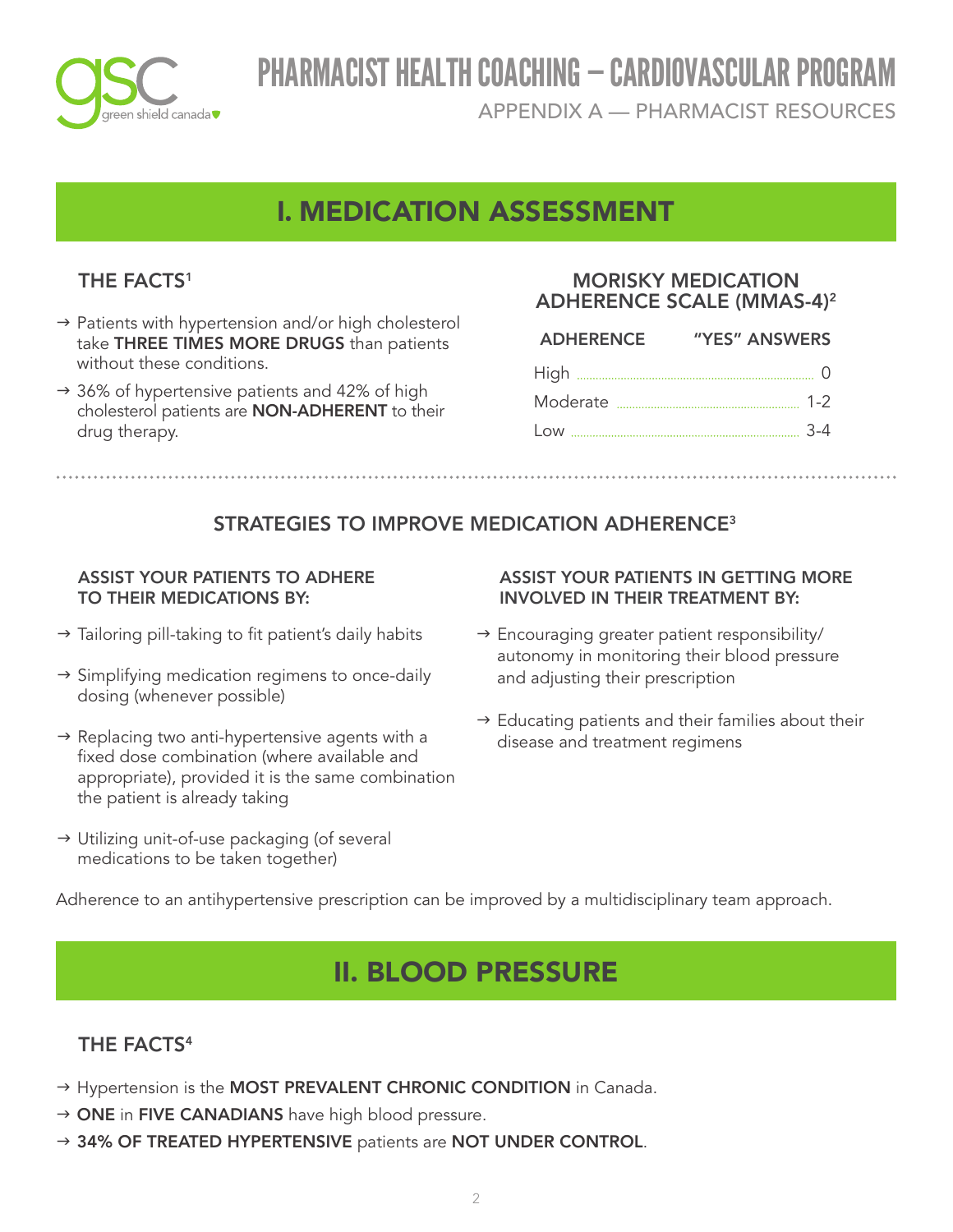

APPENDIX A — PHARMACIST RESOURCES

# I. MEDICATION ASSESSMENT

## THE FACTS<sup>1</sup>

- $\rightarrow$  Patients with hypertension and/or high cholesterol take THREE TIMES MORE DRUGS than patients without these conditions.
- $\rightarrow$  36% of hypertensive patients and 42% of high cholesterol patients are NON-ADHERENT to their drug therapy.

### MORISKY MEDICATION ADHERENCE SCALE (MMAS-4)<sup>2</sup>

| <b>ADHERENCE</b> | "YES" ANSWERS |
|------------------|---------------|
|                  |               |
|                  |               |
|                  |               |
|                  |               |

## STRATEGIES TO IMPROVE MEDICATION ADHERENCE<sup>3</sup>

#### ASSIST YOUR PATIENTS TO ADHERE TO THEIR MEDICATIONS BY:

- $\rightarrow$  Tailoring pill-taking to fit patient's daily habits
- $\rightarrow$  Simplifying medication regimens to once-daily dosing (whenever possible)
- $\rightarrow$  Replacing two anti-hypertensive agents with a fixed dose combination (where available and appropriate), provided it is the same combination the patient is already taking
- → Utilizing unit-of-use packaging (of several medications to be taken together)

#### ASSIST YOUR PATIENTS IN GETTING MORE INVOLVED IN THEIR TREATMENT BY:

- $\rightarrow$  Encouraging greater patient responsibility/ autonomy in monitoring their blood pressure and adjusting their prescription
- $\rightarrow$  Educating patients and their families about their disease and treatment regimens

Adherence to an antihypertensive prescription can be improved by a multidisciplinary team approach.

# II. BLOOD PRESSURE

## THE FACTS<sup>4</sup>

- → Hypertension is the MOST PREVALENT CHRONIC CONDITION in Canada.
- $\rightarrow$  ONE in FIVE CANADIANS have high blood pressure.
- $\rightarrow$  34% OF TREATED HYPERTENSIVE patients are NOT UNDER CONTROL.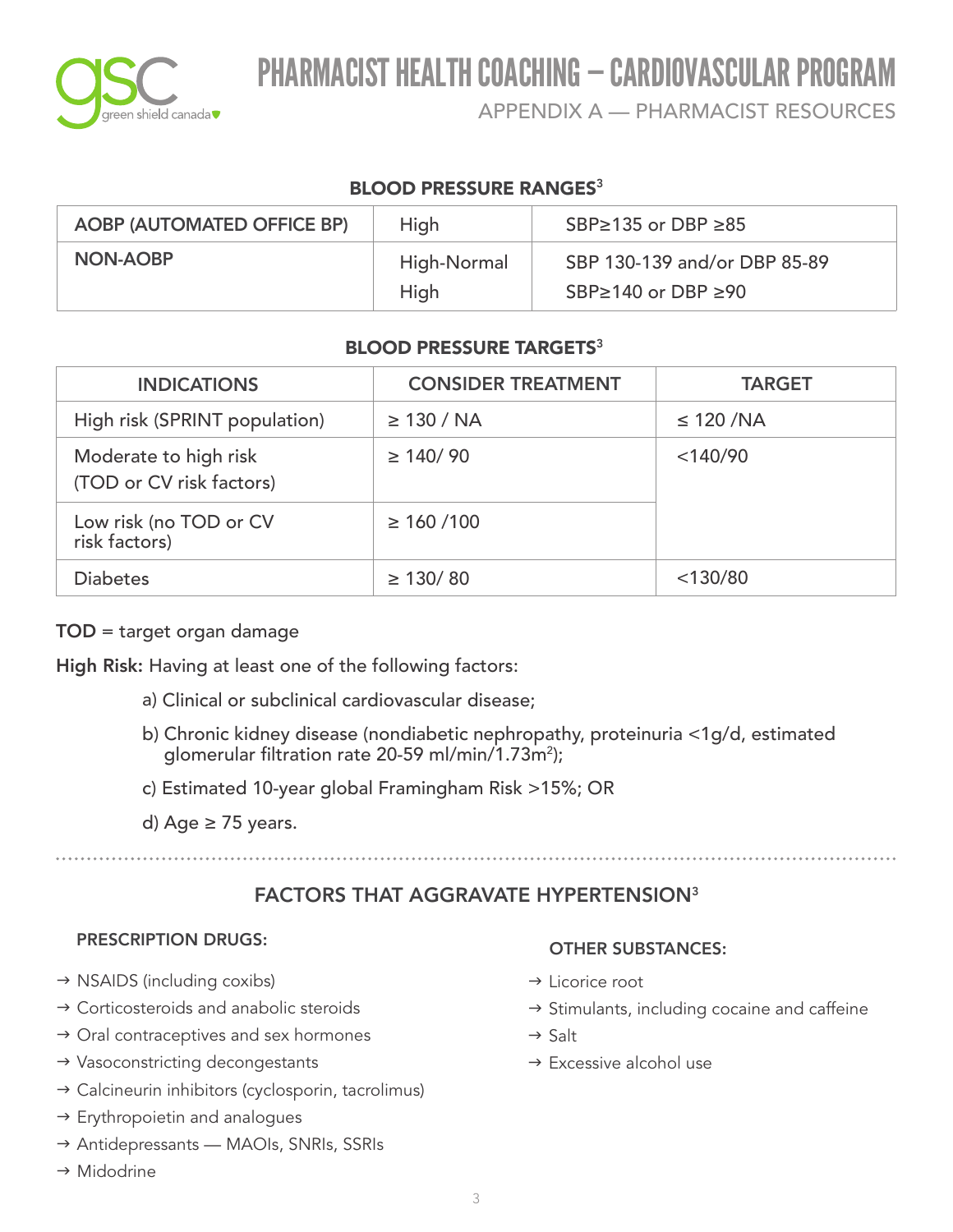

APPENDIX A — PHARMACIST RESOURCES

### **BLOOD PRESSURE RANGES<sup>3</sup>**

| <b>AOBP (AUTOMATED OFFICE BP)</b> | High        | SBP $\ge$ 135 or DBP $\ge$ 85 |
|-----------------------------------|-------------|-------------------------------|
| NON-AOBP                          | High-Normal | SBP 130-139 and/or DBP 85-89  |
|                                   | High        | SBP≥140 or DBP ≥90            |

### BLOOD PRESSURE TARGETS<sup>3</sup>

| <b>INDICATIONS</b>                                | <b>CONSIDER TREATMENT</b> | <b>TARGET</b>  |
|---------------------------------------------------|---------------------------|----------------|
| High risk (SPRINT population)                     | $\geq$ 130 / NA           | $\leq$ 120 /NA |
| Moderate to high risk<br>(TOD or CV risk factors) | $\geq$ 140/90             | $<$ 140/90     |
| Low risk (no TOD or CV<br>risk factors)           | $\geq 160/100$            |                |
| <b>Diabetes</b>                                   | $\geq$ 130/80             | $<$ 130/80     |

#### TOD = target organ damage

High Risk: Having at least one of the following factors:

- a) Clinical or subclinical cardiovascular disease;
- b) Chronic kidney disease (nondiabetic nephropathy, proteinuria <1g/d, estimated glomerular filtration rate 20-59 ml/min/1.73m2 );
- c) Estimated 10-year global Framingham Risk >15%; OR
- d) Age  $\geq$  75 years.

### FACTORS THAT AGGRAVATE HYPERTENSION<sup>3</sup>

#### PRESCRIPTION DRUGS:

- $\rightarrow$  NSAIDS (including coxibs)
- $\rightarrow$  Corticosteroids and anabolic steroids
- $\rightarrow$  Oral contraceptives and sex hormones
- $\rightarrow$  Vasoconstricting decongestants
- $\rightarrow$  Calcineurin inhibitors (cyclosporin, tacrolimus)
- $\rightarrow$  Erythropoietin and analogues
- → Antidepressants MAOIs, SNRIs, SSRIs
- $\rightarrow$  Midodrine

#### OTHER SUBSTANCES:

- $\rightarrow$  Licorice root
- $\rightarrow$  Stimulants, including cocaine and caffeine
- $\rightarrow$  Salt
- $\rightarrow$  Excessive alcohol use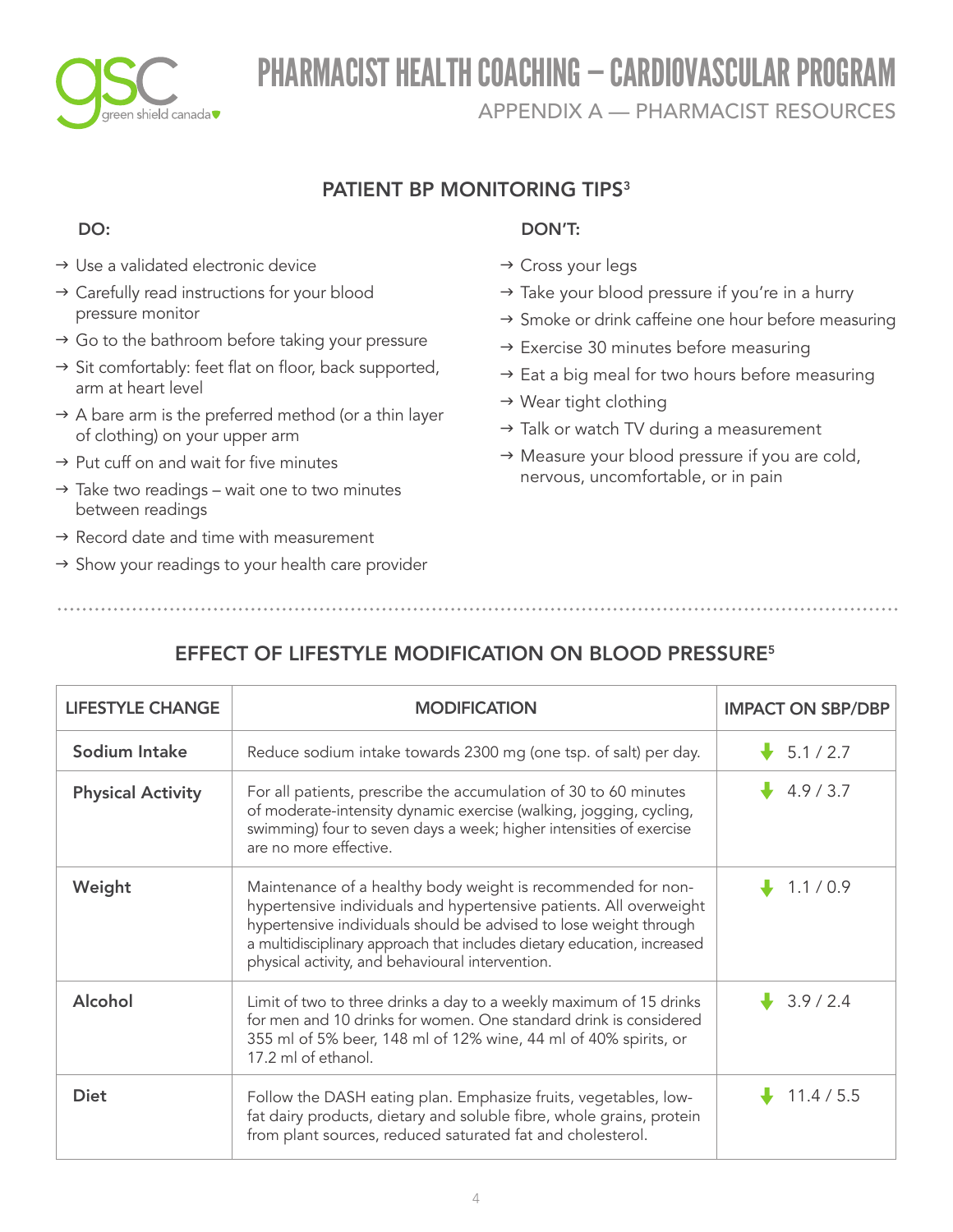

APPENDIX A — PHARMACIST RESOURCES

### PATIENT BP MONITORING TIPS<sup>3</sup>

### DO:

- $\rightarrow$  Use a validated electronic device
- → Carefully read instructions for your blood pressure monitor
- $\rightarrow$  Go to the bathroom before taking your pressure
- $\rightarrow$  Sit comfortably: feet flat on floor, back supported, arm at heart level
- $\rightarrow$  A bare arm is the preferred method (or a thin layer of clothing) on your upper arm
- $\rightarrow$  Put cuff on and wait for five minutes
- $\rightarrow$  Take two readings wait one to two minutes between readings
- $\rightarrow$  Record date and time with measurement
- $\rightarrow$  Show your readings to your health care provider

### DON'T:

- → Cross your legs
- $\rightarrow$  Take your blood pressure if you're in a hurry
- $\rightarrow$  Smoke or drink caffeine one hour before measuring
- $\rightarrow$  Exercise 30 minutes before measuring
- $\rightarrow$  Eat a big meal for two hours before measuring
- $\rightarrow$  Wear tight clothing
- $\rightarrow$  Talk or watch TV during a measurement
- $\rightarrow$  Measure your blood pressure if you are cold, nervous, uncomfortable, or in pain

## EFFECT OF LIFESTYLE MODIFICATION ON BLOOD PRESSURE<sup>5</sup>

| <b>LIFESTYLE CHANGE</b>  | <b>MODIFICATION</b>                                                                                                                                                                                                                                                                                                                    | <b>IMPACT ON SBP/DBP</b> |
|--------------------------|----------------------------------------------------------------------------------------------------------------------------------------------------------------------------------------------------------------------------------------------------------------------------------------------------------------------------------------|--------------------------|
| Sodium Intake            | Reduce sodium intake towards 2300 mg (one tsp. of salt) per day.                                                                                                                                                                                                                                                                       | $\frac{1}{2}$ 5.1/2.7    |
| <b>Physical Activity</b> | For all patients, prescribe the accumulation of 30 to 60 minutes<br>of moderate-intensity dynamic exercise (walking, jogging, cycling,<br>swimming) four to seven days a week; higher intensities of exercise<br>are no more effective.                                                                                                | 4.9/3.7                  |
| Weight                   | Maintenance of a healthy body weight is recommended for non-<br>hypertensive individuals and hypertensive patients. All overweight<br>hypertensive individuals should be advised to lose weight through<br>a multidisciplinary approach that includes dietary education, increased<br>physical activity, and behavioural intervention. | 1.1/0.9                  |
| Alcohol                  | Limit of two to three drinks a day to a weekly maximum of 15 drinks<br>for men and 10 drinks for women. One standard drink is considered<br>355 ml of 5% beer, 148 ml of 12% wine, 44 ml of 40% spirits, or<br>17.2 ml of ethanol.                                                                                                     | $\frac{1}{2}$ 3.9/2.4    |
| <b>Diet</b>              | Follow the DASH eating plan. Emphasize fruits, vegetables, low-<br>fat dairy products, dietary and soluble fibre, whole grains, protein<br>from plant sources, reduced saturated fat and cholesterol.                                                                                                                                  | $\downarrow$ 11.4/5.5    |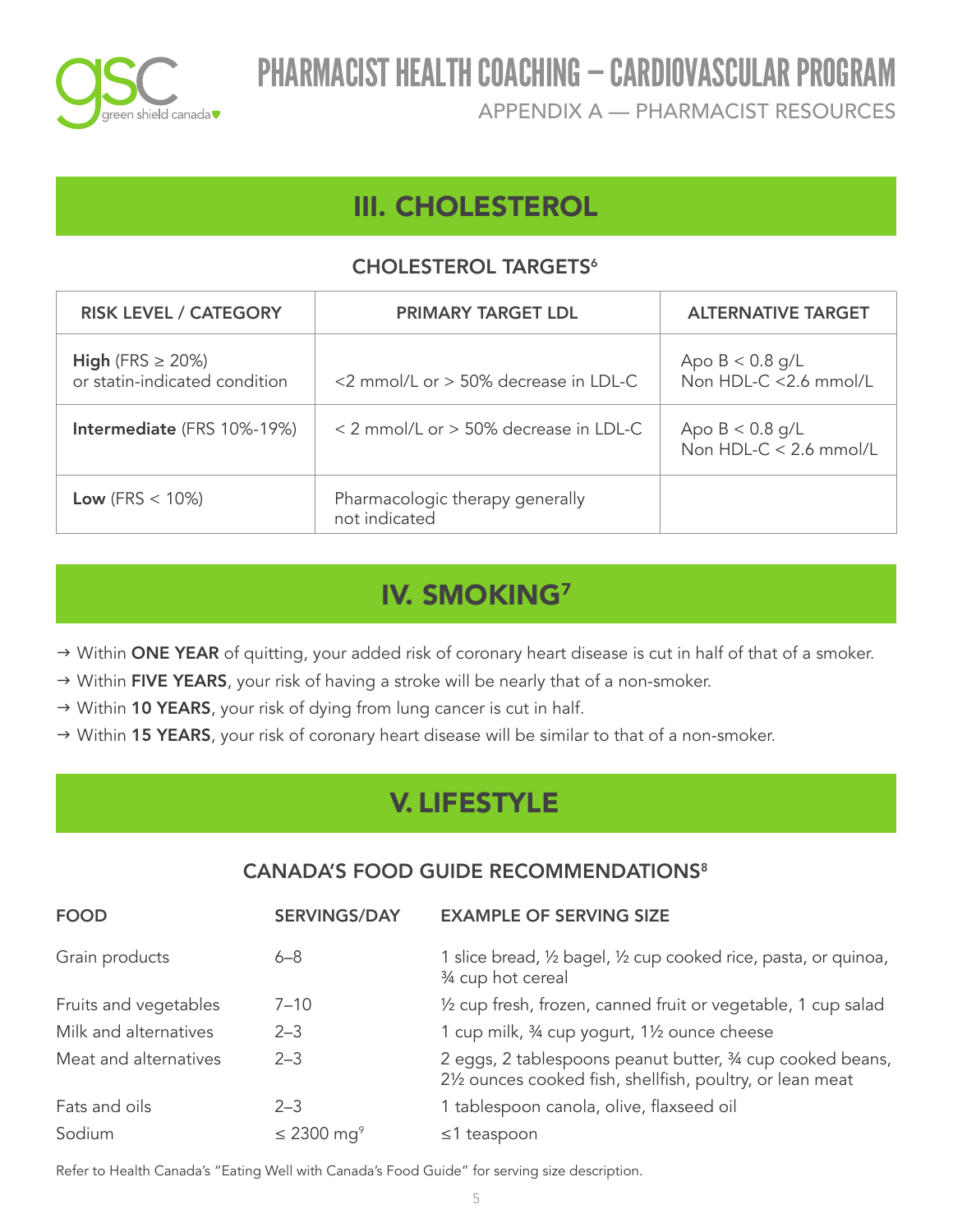

APPENDIX A — PHARMACIST RESOURCES

# III. CHOLESTEROL

### CHOLESTEROL TARGETS<sup>6</sup>

| <b>RISK LEVEL / CATEGORY</b>                           | <b>PRIMARY TARGET LDL</b>                        | <b>ALTERNATIVE TARGET</b>                     |
|--------------------------------------------------------|--------------------------------------------------|-----------------------------------------------|
| High (FRS $\geq$ 20%)<br>or statin-indicated condition | <2 mmol/L or $>$ 50% decrease in LDL-C           | Apo $B < 0.8$ g/L<br>Non HDL-C <2.6 mmol/L    |
| Intermediate (FRS 10%-19%)                             | < 2 mmol/L or > 50% decrease in LDL-C            | Apo $B < 0.8$ g/L<br>Non HDL-C $<$ 2.6 mmol/L |
| Low (FRS $<$ 10%)                                      | Pharmacologic therapy generally<br>not indicated |                                               |

# IV. SMOKING<sup>7</sup>

→ Within ONE YEAR of quitting, your added risk of coronary heart disease is cut in half of that of a smoker.

- $\rightarrow$  Within FIVE YEARS, your risk of having a stroke will be nearly that of a non-smoker.
- → Within 10 YEARS, your risk of dying from lung cancer is cut in half.
- $\rightarrow$  Within 15 YEARS, your risk of coronary heart disease will be similar to that of a non-smoker.

# V. LIFESTYLE

### CANADA'S FOOD GUIDE RECOMMENDATIONS<sup>8</sup>

| <b>FOOD</b>           | <b>SERVINGS/DAY</b>         | <b>EXAMPLE OF SERVING SIZE</b>                                                                                         |
|-----------------------|-----------------------------|------------------------------------------------------------------------------------------------------------------------|
| Grain products        | $6 - 8$                     | 1 slice bread, 1/2 bagel, 1/2 cup cooked rice, pasta, or quinoa,<br>3/4 cup hot cereal                                 |
| Fruits and vegetables | $7 - 10$                    | 1/2 cup fresh, frozen, canned fruit or vegetable, 1 cup salad                                                          |
| Milk and alternatives | $2 - 3$                     | 1 cup milk, 34 cup yogurt, 11/2 ounce cheese                                                                           |
| Meat and alternatives | $2 - 3$                     | 2 eggs, 2 tablespoons peanut butter, 34 cup cooked beans,<br>21/2 ounces cooked fish, shellfish, poultry, or lean meat |
| Fats and oils         | $2 - 3$                     | 1 tablespoon canola, olive, flaxseed oil                                                                               |
| Sodium                | $\leq$ 2300 mg <sup>9</sup> | $\leq$ 1 teaspoon                                                                                                      |

Refer to Health Canada's "Eating Well with Canada's Food Guide" for serving size description.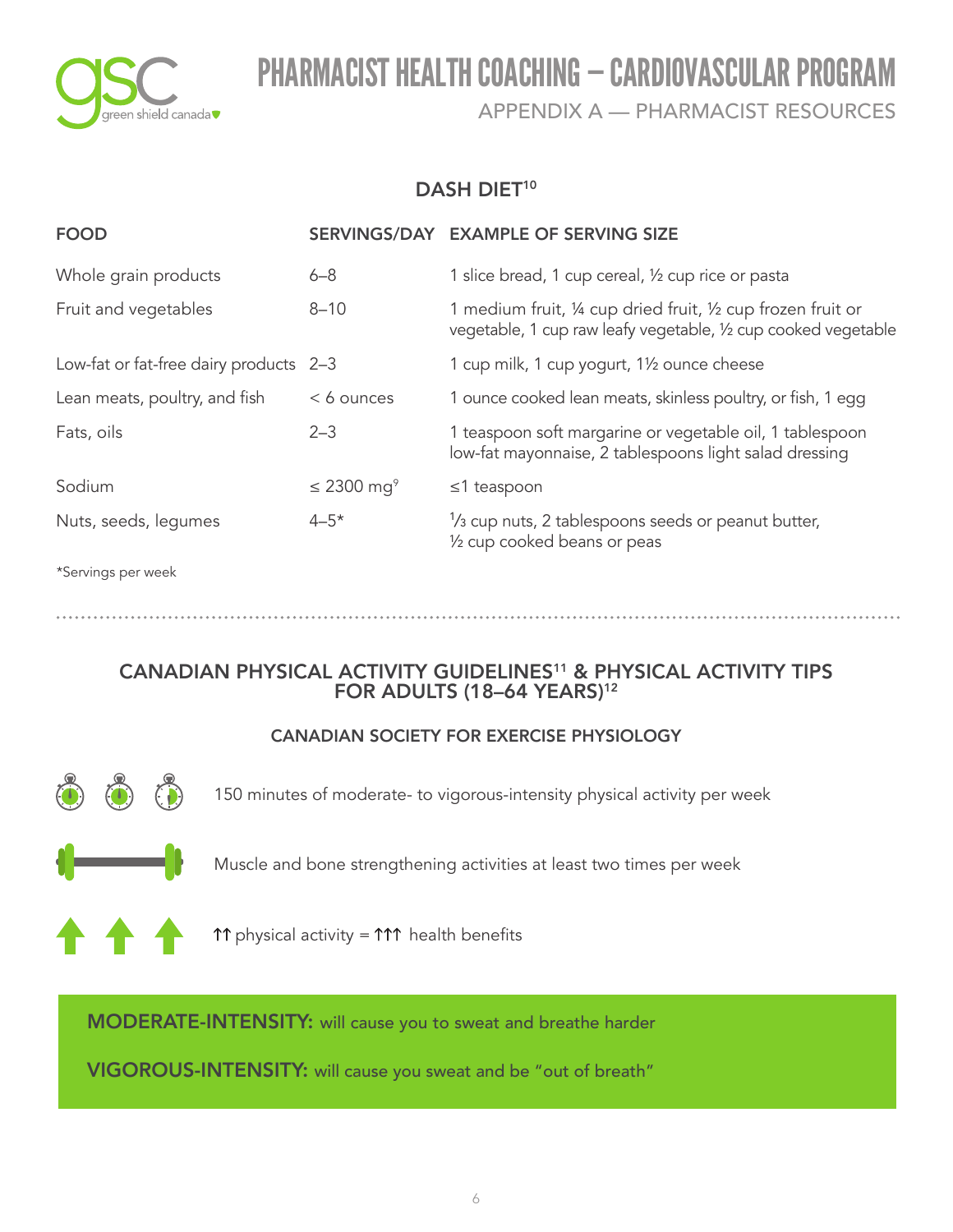

APPENDIX A — PHARMACIST RESOURCES

### DASH DIET<sup>10</sup>

| <b>FOOD</b>                            |                             | SERVINGS/DAY EXAMPLE OF SERVING SIZE                                                                                           |
|----------------------------------------|-----------------------------|--------------------------------------------------------------------------------------------------------------------------------|
| Whole grain products                   | $6 - 8$                     | 1 slice bread, 1 cup cereal, 1/2 cup rice or pasta                                                                             |
| Fruit and vegetables                   | $8 - 10$                    | 1 medium fruit, 1/4 cup dried fruit, 1/2 cup frozen fruit or<br>vegetable, 1 cup raw leafy vegetable, 1/2 cup cooked vegetable |
| Low-fat or fat-free dairy products 2-3 |                             | 1 cup milk, 1 cup yogurt, 1 <sup>1</sup> /2 ounce cheese                                                                       |
| Lean meats, poultry, and fish          | $< 6$ ounces                | 1 ounce cooked lean meats, skinless poultry, or fish, 1 egg                                                                    |
| Fats, oils                             | $2 - 3$                     | 1 teaspoon soft margarine or vegetable oil, 1 tablespoon<br>low-fat mayonnaise, 2 tablespoons light salad dressing             |
| Sodium                                 | $\leq$ 2300 mg <sup>9</sup> | $\leq$ 1 teaspoon                                                                                                              |
| Nuts, seeds, legumes                   | $4 - 5*$                    | 1/ <sub>3</sub> cup nuts, 2 tablespoons seeds or peanut butter,<br>1/2 cup cooked beans or peas                                |
|                                        |                             |                                                                                                                                |

\*Servings per week

## CANADIAN PHYSICAL ACTIVITY GUIDELINES<sup>11</sup> & PHYSICAL ACTIVITY TIPS FOR ADULTS (18-64 YEARS)<sup>12</sup>

### CANADIAN SOCIETY FOR EXERCISE PHYSIOLOGY



150 minutes of moderate- to vigorous-intensity physical activity per week



Muscle and bone strengthening activities at least two times per week



 $\uparrow\uparrow$  physical activity =  $\uparrow\uparrow\uparrow$  health benefits

MODERATE-INTENSITY: will cause you to sweat and breathe harder

VIGOROUS-INTENSITY: will cause you sweat and be "out of breath"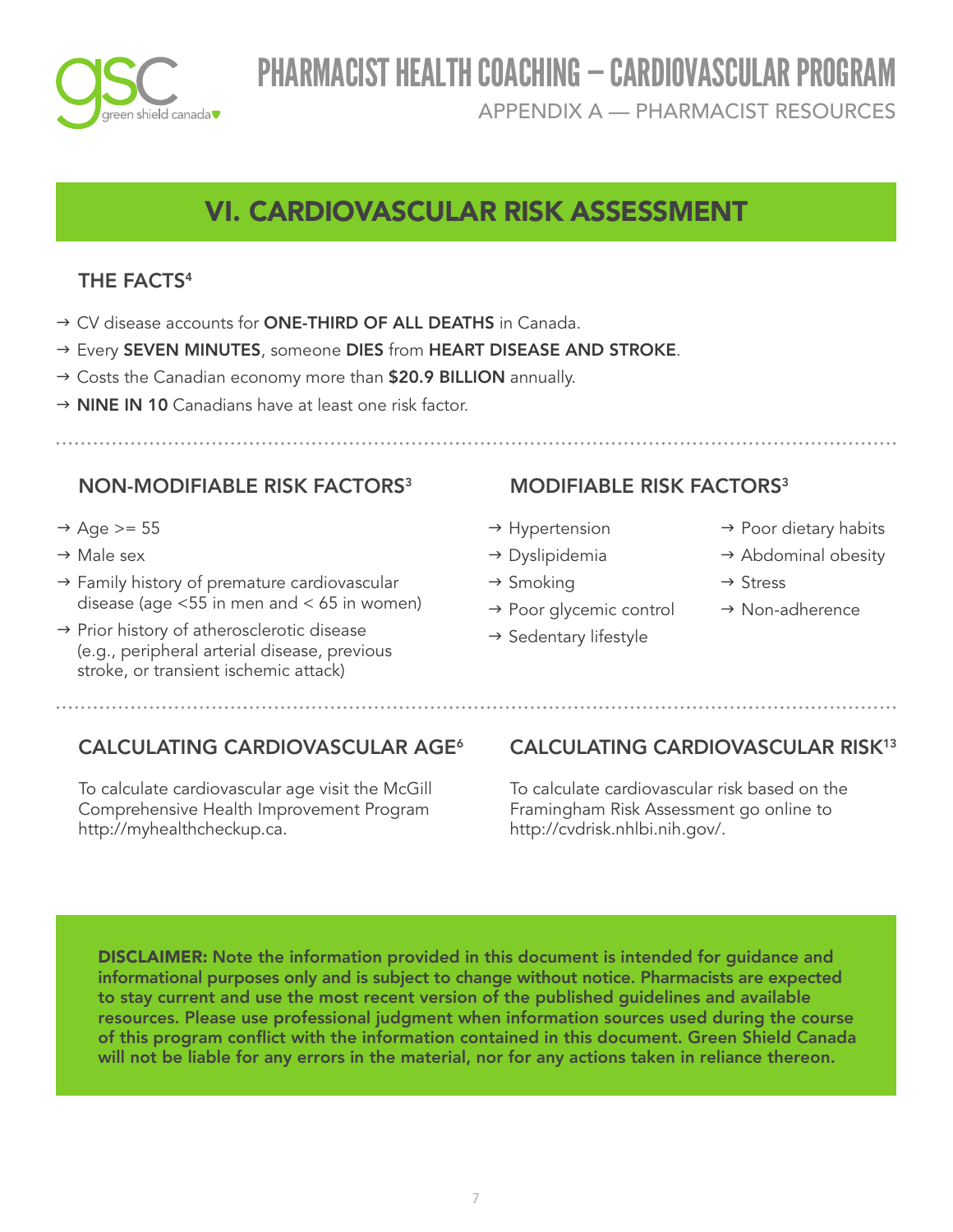

APPENDIX A — PHARMACIST RESOURCES

# VI. CARDIOVASCULAR RISK ASSESSMENT

## THE FACTS<sup>4</sup>

- → CV disease accounts for ONE-THIRD OF ALL DEATHS in Canada.
- → Every SEVEN MINUTES, someone DIES from HEART DISEASE AND STROKE.
- → Costs the Canadian economy more than \$20.9 BILLION annually.
- $\rightarrow$  NINE IN 10 Canadians have at least one risk factor.

## NON-MODIFIABLE RISK FACTORS<sup>3</sup>

- $\rightarrow$  Age >= 55
- $\rightarrow$  Male sex
- $\rightarrow$  Family history of premature cardiovascular disease (age <55 in men and < 65 in women)
- $\rightarrow$  Prior history of atherosclerotic disease (e.g., peripheral arterial disease, previous stroke, or transient ischemic attack)

## MODIFIABLE RISK FACTORS<sup>3</sup>

- $\rightarrow$  Hypertension
- $\rightarrow$  Dyslipidemia
- $\rightarrow$  Smoking
- $\rightarrow$  Poor glycemic control
- $\rightarrow$  Sedentary lifestyle
- $\rightarrow$  Poor dietary habits
- $\rightarrow$  Abdominal obesity
- $\rightarrow$  Stress
- $\rightarrow$  Non-adherence

## CALCULATING CARDIOVASCULAR AGE<sup>6</sup>

To calculate cardiovascular age visit the McGill Comprehensive Health Improvement Program [http://myhealthcheckup.ca.](http://myhealthcheckup.ca)

## CALCULATING CARDIOVASCULAR RISK<sup>13</sup>

To calculate cardiovascular risk based on the Framingham Risk Assessment go online to <http://cvdrisk.nhlbi.nih.gov>/.

DISCLAIMER: Note the information provided in this document is intended for guidance and informational purposes only and is subject to change without notice. Pharmacists are expected to stay current and use the most recent version of the published guidelines and available resources. Please use professional judgment when information sources used during the course of this program conflict with the information contained in this document. Green Shield Canada will not be liable for any errors in the material, nor for any actions taken in reliance thereon.